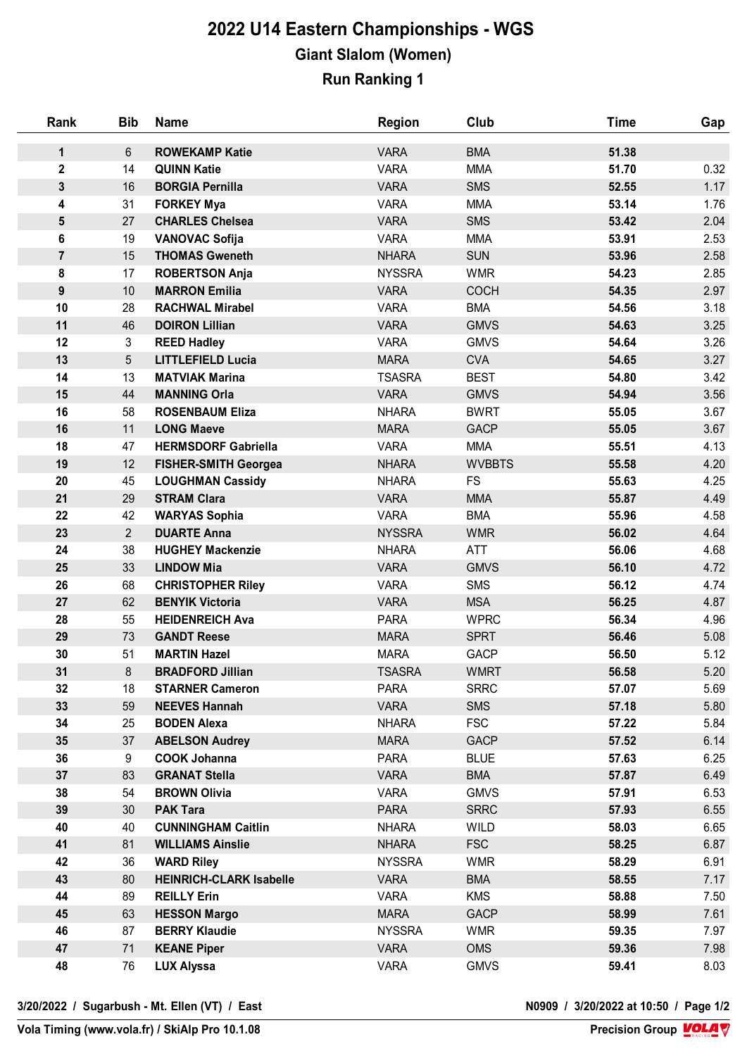## **2022 U14 Eastern Championships - WGS Giant Slalom (Women) Run Ranking 1**

| Rank             | <b>Bib</b>      | <b>Name</b>                                 | <b>Region</b>              | Club                      | <b>Time</b>    | Gap          |
|------------------|-----------------|---------------------------------------------|----------------------------|---------------------------|----------------|--------------|
| 1                | $6\phantom{1}$  | <b>ROWEKAMP Katie</b>                       | <b>VARA</b>                | <b>BMA</b>                | 51.38          |              |
| $\mathbf 2$      | 14              | <b>QUINN Katie</b>                          | <b>VARA</b>                | <b>MMA</b>                | 51.70          | 0.32         |
| $\mathbf{3}$     | 16              | <b>BORGIA Pernilla</b>                      | <b>VARA</b>                | <b>SMS</b>                | 52.55          | 1.17         |
| 4                | 31              | <b>FORKEY Mya</b>                           | <b>VARA</b>                | <b>MMA</b>                | 53.14          | 1.76         |
| 5                | 27              | <b>CHARLES Chelsea</b>                      | <b>VARA</b>                | <b>SMS</b>                | 53.42          | 2.04         |
| 6                | 19              | <b>VANOVAC Sofija</b>                       | <b>VARA</b>                | <b>MMA</b>                | 53.91          | 2.53         |
| $\overline{7}$   | 15              | <b>THOMAS Gweneth</b>                       | <b>NHARA</b>               | <b>SUN</b>                | 53.96          | 2.58         |
| 8                | 17              | <b>ROBERTSON Anja</b>                       | <b>NYSSRA</b>              | <b>WMR</b>                | 54.23          | 2.85         |
| 9                | 10              | <b>MARRON Emilia</b>                        | <b>VARA</b>                | <b>COCH</b>               | 54.35          | 2.97         |
| 10               | 28              | <b>RACHWAL Mirabel</b>                      | <b>VARA</b>                | <b>BMA</b>                | 54.56          | 3.18         |
| 11               | 46              | <b>DOIRON Lillian</b>                       | <b>VARA</b>                | <b>GMVS</b>               | 54.63          | 3.25         |
| 12               | 3               | <b>REED Hadley</b>                          | <b>VARA</b>                | <b>GMVS</b>               | 54.64          | 3.26         |
| 13               | $5\overline{)}$ | <b>LITTLEFIELD Lucia</b>                    | <b>MARA</b>                | <b>CVA</b>                | 54.65          | 3.27         |
| 14               | 13              | <b>MATVIAK Marina</b>                       | <b>TSASRA</b>              | <b>BEST</b>               | 54.80          | 3.42         |
| 15               | 44              | <b>MANNING Orla</b>                         | <b>VARA</b>                | <b>GMVS</b>               | 54.94          | 3.56         |
| 16               | 58              | <b>ROSENBAUM Eliza</b>                      | <b>NHARA</b>               | <b>BWRT</b>               | 55.05          | 3.67         |
| 16               | 11              | <b>LONG Maeve</b>                           | <b>MARA</b>                | <b>GACP</b>               | 55.05          | 3.67         |
| 18               | 47              | <b>HERMSDORF Gabriella</b>                  | <b>VARA</b>                | <b>MMA</b>                | 55.51          | 4.13         |
| 19               | 12              | <b>FISHER-SMITH Georgea</b>                 | <b>NHARA</b>               | <b>WVBBTS</b>             | 55.58          | 4.20         |
| 20               | 45              | <b>LOUGHMAN Cassidy</b>                     | <b>NHARA</b>               | <b>FS</b>                 | 55.63          | 4.25         |
| 21               | 29              | <b>STRAM Clara</b>                          | <b>VARA</b>                | <b>MMA</b>                | 55.87          | 4.49         |
| 22               | 42              | <b>WARYAS Sophia</b>                        | <b>VARA</b>                | <b>BMA</b>                | 55.96          | 4.58         |
| 23               | $2^{\circ}$     | <b>DUARTE Anna</b>                          | <b>NYSSRA</b>              | <b>WMR</b>                | 56.02          | 4.64         |
| 24               | 38              | <b>HUGHEY Mackenzie</b>                     | <b>NHARA</b>               | ATT                       | 56.06          | 4.68         |
| 25               | 33              | <b>LINDOW Mia</b>                           | <b>VARA</b>                | <b>GMVS</b>               | 56.10          | 4.72         |
| 26               | 68              | <b>CHRISTOPHER Riley</b>                    | <b>VARA</b>                | <b>SMS</b>                | 56.12          | 4.74         |
| 27               | 62              | <b>BENYIK Victoria</b>                      | <b>VARA</b>                | <b>MSA</b>                | 56.25          | 4.87         |
| 28               | 55              | <b>HEIDENREICH Ava</b>                      | <b>PARA</b>                | <b>WPRC</b>               | 56.34          | 4.96         |
| 29               | 73              | <b>GANDT Reese</b>                          | <b>MARA</b>                | <b>SPRT</b>               | 56.46          | 5.08         |
| 30               | 51              | <b>MARTIN Hazel</b>                         | <b>MARA</b>                | <b>GACP</b>               | 56.50          | 5.12         |
| 31               | 8               | <b>BRADFORD Jillian</b>                     | <b>TSASRA</b>              | <b>WMRT</b>               | 56.58          | 5.20         |
| 32               | 18              | <b>STARNER Cameron</b>                      | <b>PARA</b>                | <b>SRRC</b>               | 57.07          | 5.69         |
| 33               | 59              | <b>NEEVES Hannah</b>                        | <b>VARA</b>                | <b>SMS</b>                | 57.18          | 5.80         |
| 34               | 25              | <b>BODEN Alexa</b>                          | <b>NHARA</b>               | <b>FSC</b>                | 57.22          | 5.84         |
| $35\phantom{.0}$ | 37              | <b>ABELSON Audrey</b>                       | <b>MARA</b>                | <b>GACP</b>               | 57.52          | 6.14         |
| 36<br>37         | 9<br>83         | <b>COOK Johanna</b><br><b>GRANAT Stella</b> | <b>PARA</b><br><b>VARA</b> | <b>BLUE</b><br><b>BMA</b> | 57.63<br>57.87 | 6.25<br>6.49 |
| 38               | 54              | <b>BROWN Olivia</b>                         | <b>VARA</b>                | <b>GMVS</b>               | 57.91          | 6.53         |
| 39               | 30              | <b>PAK Tara</b>                             | <b>PARA</b>                | <b>SRRC</b>               | 57.93          | 6.55         |
| 40               | 40              | <b>CUNNINGHAM Caitlin</b>                   | <b>NHARA</b>               | WILD                      | 58.03          | 6.65         |
| 41               | 81              | <b>WILLIAMS Ainslie</b>                     | <b>NHARA</b>               | <b>FSC</b>                | 58.25          | 6.87         |
| 42               | 36              | <b>WARD Riley</b>                           | <b>NYSSRA</b>              | <b>WMR</b>                | 58.29          | 6.91         |
| 43               | 80              | <b>HEINRICH-CLARK Isabelle</b>              | <b>VARA</b>                | <b>BMA</b>                | 58.55          | 7.17         |
| 44               | 89              | <b>REILLY Erin</b>                          | <b>VARA</b>                | <b>KMS</b>                | 58.88          | 7.50         |
| 45               | 63              | <b>HESSON Margo</b>                         | <b>MARA</b>                | <b>GACP</b>               | 58.99          | 7.61         |
| 46               | 87              | <b>BERRY Klaudie</b>                        | <b>NYSSRA</b>              | <b>WMR</b>                | 59.35          | 7.97         |
| 47               | 71              | <b>KEANE Piper</b>                          | <b>VARA</b>                | <b>OMS</b>                | 59.36          | 7.98         |
| 48               | 76              | <b>LUX Alyssa</b>                           | <b>VARA</b>                | <b>GMVS</b>               | 59.41          | 8.03         |
|                  |                 |                                             |                            |                           |                |              |